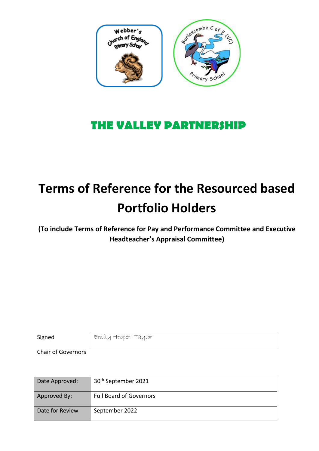

# **THE VALLEY PARTNERSHIP**

# **Terms of Reference for the Resourced based Portfolio Holders**

**(To include Terms of Reference for Pay and Performance Committee and Executive Headteacher's Appraisal Committee)**

Signed Emily Hooper-Taylor

Chair of Governors

| Date Approved:  | 30 <sup>th</sup> September 2021 |
|-----------------|---------------------------------|
| Approved By:    | <b>Full Board of Governors</b>  |
| Date for Review | September 2022                  |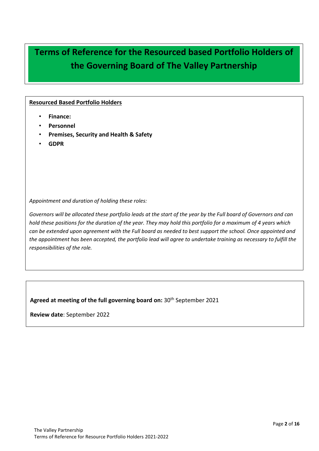# **Terms of Reference for the Resourced based Portfolio Holders of the Governing Board of The Valley Partnership**

#### **Resourced Based Portfolio Holders**

- **Finance:**
- **Personnel**
- **Premises, Security and Health & Safety**
- **GDPR**

*Appointment and duration of holding these roles:*

*Governors will be allocated these portfolio leads at the start of the year by the Full board of Governors and can hold these positions for the duration of the year. They may hold this portfolio for a maximum of 4 years which can be extended upon agreement with the Full board as needed to best support the school. Once appointed and the appointment has been accepted, the portfolio lead will agree to undertake training as necessary to fulfill the responsibilities of the role.* 

**Agreed at meeting of the full governing board on:** 30th September 2021

**Review date**: September 2022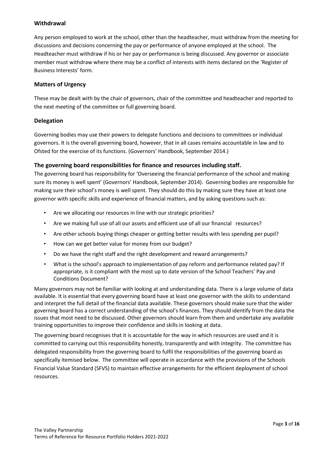#### **Withdrawal**

Any person employed to work at the school, other than the headteacher, must withdraw from the meeting for discussions and decisions concerning the pay or performance of anyone employed at the school. The Headteacher must withdraw if his or her pay or performance is being discussed. Any governor or associate member must withdraw where there may be a conflict of interests with items declared on the 'Register of Business Interests' form.

#### **Matters of Urgency**

These may be dealt with by the chair of governors, chair of the committee and headteacher and reported to the next meeting of the committee or full governing board.

#### **Delegation**

Governing bodies may use their powers to delegate functions and decisions to committees or individual governors. It is the overall governing board, however, that in all cases remains accountable in law and to Ofsted for the exercise of its functions. (Governors' Handbook, September 2014.)

#### **The governing board responsibilities for finance and resources including staff.**

The governing board has responsibility for 'Overseeing the financial performance of the school and making sure its money is well spent' (Governors' Handbook, September 2014). Governing bodies are responsible for making sure their school's money is well spent. They should do this by making sure they have at least one governor with specific skills and experience of financial matters, and by asking questions such as:

- Are we allocating our resources in line with our strategic priorities?
- Are we making full use of all our assets and efficient use of all our financial resources?
- Are other schools buying things cheaper or getting better results with less spending per pupil?
- How can we get better value for money from our budget?
- Do we have the right staff and the right development and reward arrangements?
- What is the school's approach to implementation of pay reform and performance related pay? If appropriate, is it compliant with the most up to date version of the School Teachers' Pay and Conditions Document?

Many governors may not be familiar with looking at and understanding data. There is a large volume of data available. It is essential that every governing board have at least one governor with the skills to understand and interpret the full detail of the financial data available. These governors should make sure that the wider governing board has a correct understanding of the school's finances. They should identify from the data the issues that most need to be discussed. Other governors should learn from them and undertake any available training opportunities to improve their confidence and skills in looking at data.

The governing board recognises that it is accountable for the way in which resources are used and it is committed to carrying out this responsibility honestly, transparently and with integrity. The committee has delegated responsibility from the governing board to fulfil the responsibilities of the governing board as specifically itemised below. The committee will operate in accordance with the provisions of the Schools Financial Value Standard (SFVS) to maintain effective arrangements for the efficient deployment of school resources.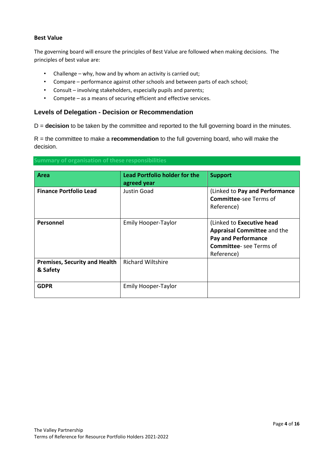#### **Best Value**

The governing board will ensure the principles of Best Value are followed when making decisions. The principles of best value are:

- Challenge why, how and by whom an activity is carried out;
- Compare performance against other schools and between parts of each school;
- Consult involving stakeholders, especially pupils and parents;
- Compete as a means of securing efficient and effective services.

#### **Levels of Delegation - Decision or Recommendation**

D = **decision** to be taken by the committee and reported to the full governing board in the minutes.

R = the committee to make a **recommendation** to the full governing board, who will make the decision.

#### **Summary of organisation of these responsibilities**

| Area                                             | <b>Lead Portfolio holder for the</b><br>agreed year | <b>Support</b>                                                                                                                               |
|--------------------------------------------------|-----------------------------------------------------|----------------------------------------------------------------------------------------------------------------------------------------------|
| <b>Finance Portfolio Lead</b>                    | Justin Goad                                         | (Linked to Pay and Performance<br><b>Committee-see Terms of</b><br>Reference)                                                                |
| <b>Personnel</b>                                 | <b>Emily Hooper-Taylor</b>                          | (Linked to Executive head<br><b>Appraisal Committee and the</b><br><b>Pay and Performance</b><br><b>Committee-see Terms of</b><br>Reference) |
| <b>Premises, Security and Health</b><br>& Safety | <b>Richard Wiltshire</b>                            |                                                                                                                                              |
| <b>GDPR</b>                                      | <b>Emily Hooper-Taylor</b>                          |                                                                                                                                              |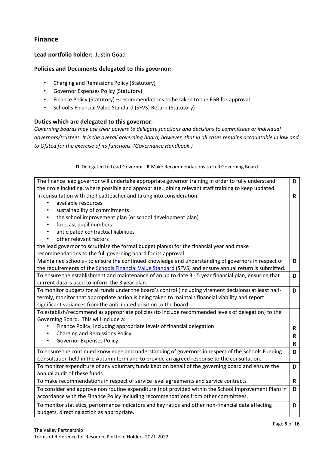## **Finance**

#### **Lead portfolio holder:** Justin Goad

#### **Policies and Documents delegated to this governor:**

- Charging and Remissions Policy (Statutory)
- Governor Expenses Policy (Statutory)
- Finance Policy (Statutory) recommendations to be taken to the FGB for approval
- School's Financial Value Standard (SFVS) Return (Statutory)

#### **Duties which are delegated to this governor:**

*Governing boards may use their powers to delegate functions and decisions to committees or individual governors/trustees. It is the overall governing board, however, that in all cases remains accountable in law and to Ofsted for the exercise of its functions. (Governance Handbook.)*

| D            |
|--------------|
|              |
| $\mathsf{R}$ |
|              |
|              |
|              |
|              |
|              |
|              |
|              |
|              |
| D            |
|              |
| D            |
|              |
| D            |
|              |
|              |
|              |
|              |
| R            |
| $\mathbf R$  |
| $\mathbf R$  |
| D            |
|              |
| D            |
|              |
| $\mathbf R$  |
| D            |
|              |
| D            |
|              |
|              |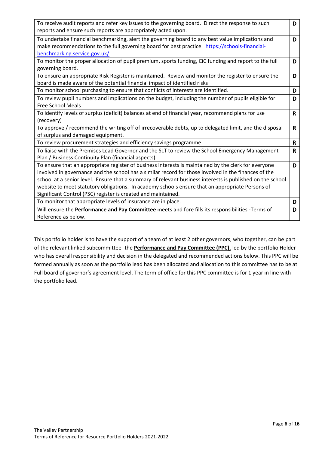| To receive audit reports and refer key issues to the governing board. Direct the response to such         | D            |
|-----------------------------------------------------------------------------------------------------------|--------------|
| reports and ensure such reports are appropriately acted upon.                                             |              |
| To undertake financial benchmarking, alert the governing board to any best value implications and         | D            |
| make recommendations to the full governing board for best practice. https://schools-financial-            |              |
| benchmarking.service.gov.uk/                                                                              |              |
| To monitor the proper allocation of pupil premium, sports funding, CiC funding and report to the full     | D            |
| governing board.                                                                                          |              |
| To ensure an appropriate Risk Register is maintained. Review and monitor the register to ensure the       | D            |
| board is made aware of the potential financial impact of identified risks                                 |              |
| To monitor school purchasing to ensure that conflicts of interests are identified.                        | D            |
| To review pupil numbers and implications on the budget, including the number of pupils eligible for       | D            |
| <b>Free School Meals</b>                                                                                  |              |
| To identify levels of surplus (deficit) balances at end of financial year, recommend plans for use        | R.           |
| (recovery)                                                                                                |              |
| To approve / recommend the writing off of irrecoverable debts, up to delegated limit, and the disposal    | R            |
| of surplus and damaged equipment.                                                                         |              |
| To review procurement strategies and efficiency savings programme                                         | R            |
| To liaise with the Premises Lead Governor and the SLT to review the School Emergency Management           | $\mathsf{R}$ |
| Plan / Business Continuity Plan (financial aspects)                                                       |              |
| To ensure that an appropriate register of business interests is maintained by the clerk for everyone      | D            |
| involved in governance and the school has a similar record for those involved in the finances of the      |              |
| school at a senior level. Ensure that a summary of relevant business interests is published on the school |              |
| website to meet statutory obligations. In academy schools ensure that an appropriate Persons of           |              |
| Significant Control (PSC) register is created and maintained.                                             |              |
| To monitor that appropriate levels of insurance are in place.                                             | D            |
| Will ensure the Performance and Pay Committee meets and fore fills its responsibilities -Terms of         | D            |
| Reference as below.                                                                                       |              |

This portfolio holder is to have the support of a team of at least 2 other governors, who together, can be part of the relevant linked subcommittee- the **Performance and Pay Committee (PPC),** led by the portfolio Holder who has overall responsibility and decision in the delegated and recommended actions below. This PPC will be formed annually as soon as the portfolio lead has been allocated and allocation to this committee has to be at Full board of governor's agreement level. The term of office for this PPC committee is for 1 year in line with the portfolio lead.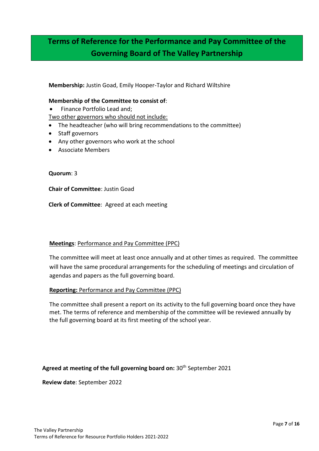# **Terms of Reference for the Performance and Pay Committee of the Governing Board of The Valley Partnership**

**Membership:** Justin Goad, Emily Hooper-Taylor and Richard Wiltshire

#### **Membership of the Committee to consist of**:

• Finance Portfolio Lead and;

Two other governors who should not include:

- The headteacher (who will bring recommendations to the committee)
- Staff governors
- Any other governors who work at the school
- Associate Members

#### **Quorum**: 3

**Chair of Committee**: Justin Goad

**Clerk of Committee**: Agreed at each meeting

#### **Meetings**: Performance and Pay Committee (PPC)

The committee will meet at least once annually and at other times as required. The committee will have the same procedural arrangements for the scheduling of meetings and circulation of agendas and papers as the full governing board.

#### **Reporting:** Performance and Pay Committee (PPC)

The committee shall present a report on its activity to the full governing board once they have met. The terms of reference and membership of the committee will be reviewed annually by the full governing board at its first meeting of the school year.

#### **Agreed at meeting of the full governing board on:** 30th September 2021

**Review date**: September 2022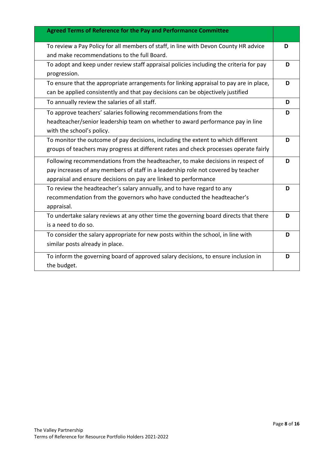| <b>Agreed Terms of Reference for the Pay and Performance Committee</b>                 |   |
|----------------------------------------------------------------------------------------|---|
| To review a Pay Policy for all members of staff, in line with Devon County HR advice   | D |
| and make recommendations to the full Board.                                            |   |
| To adopt and keep under review staff appraisal policies including the criteria for pay | D |
| progression.                                                                           |   |
| To ensure that the appropriate arrangements for linking appraisal to pay are in place, | D |
| can be applied consistently and that pay decisions can be objectively justified        |   |
| To annually review the salaries of all staff.                                          | D |
| To approve teachers' salaries following recommendations from the                       | D |
| headteacher/senior leadership team on whether to award performance pay in line         |   |
| with the school's policy.                                                              |   |
| To monitor the outcome of pay decisions, including the extent to which different       | D |
| groups of teachers may progress at different rates and check processes operate fairly  |   |
| Following recommendations from the headteacher, to make decisions in respect of        | D |
| pay increases of any members of staff in a leadership role not covered by teacher      |   |
| appraisal and ensure decisions on pay are linked to performance                        |   |
| To review the headteacher's salary annually, and to have regard to any                 | D |
| recommendation from the governors who have conducted the headteacher's                 |   |
| appraisal.                                                                             |   |
| To undertake salary reviews at any other time the governing board directs that there   | D |
| is a need to do so.                                                                    |   |
| To consider the salary appropriate for new posts within the school, in line with       | D |
| similar posts already in place.                                                        |   |
| To inform the governing board of approved salary decisions, to ensure inclusion in     | D |
| the budget.                                                                            |   |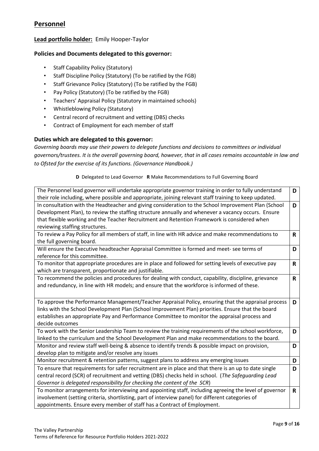## **Personnel**

#### **Lead portfolio holder:** Emily Hooper-Taylor

#### **Policies and Documents delegated to this governor:**

- Staff Capability Policy (Statutory)
- Staff Discipline Policy (Statutory) (To be ratified by the FGB)
- Staff Grievance Policy (Statutory) (To be ratified by the FGB)
- Pay Policy (Statutory) (To be ratified by the FGB)
- Teachers' Appraisal Policy (Statutory in maintained schools)
- Whistleblowing Policy (Statutory)
- Central record of recruitment and vetting (DBS) checks
- Contract of Employment for each member of staff

#### **Duties which are delegated to this governor:**

*Governing boards may use their powers to delegate functions and decisions to committees or individual governors/trustees. It is the overall governing board, however, that in all cases remains accountable in law and to Ofsted for the exercise of its functions. (Governance Handbook.)*

| The Personnel lead governor will undertake appropriate governor training in order to fully understand   | D  |
|---------------------------------------------------------------------------------------------------------|----|
| their role including, where possible and appropriate, joining relevant staff training to keep updated.  |    |
| In consultation with the Headteacher and giving consideration to the School Improvement Plan (School    | D  |
| Development Plan), to review the staffing structure annually and whenever a vacancy occurs. Ensure      |    |
| that flexible working and the Teacher Recruitment and Retention Framework is considered when            |    |
| reviewing staffing structures.                                                                          |    |
| To review a Pay Policy for all members of staff, in line with HR advice and make recommendations to     | R  |
| the full governing board.                                                                               |    |
| Will ensure the Executive headteacher Appraisal Committee is formed and meet- see terms of              | D  |
| reference for this committee.                                                                           |    |
| To monitor that appropriate procedures are in place and followed for setting levels of executive pay    | R. |
| which are transparent, proportionate and justifiable.                                                   |    |
| To recommend the policies and procedures for dealing with conduct, capability, discipline, grievance    | R. |
| and redundancy, in line with HR models; and ensure that the workforce is informed of these.             |    |
|                                                                                                         |    |
| To approve the Performance Management/Teacher Appraisal Policy, ensuring that the appraisal process     | D  |
| links with the School Development Plan (School Improvement Plan) priorities. Ensure that the board      |    |
| establishes an appropriate Pay and Performance Committee to monitor the appraisal process and           |    |
| decide outcomes                                                                                         |    |
| To work with the Senior Leadership Team to review the training requirements of the school workforce,    | D  |
| linked to the curriculum and the School Development Plan and make recommendations to the board.         |    |
| Monitor and review staff well-being & absence to identify trends & possible impact on provision,        | D  |
| develop plan to mitigate and/or resolve any issues                                                      |    |
| Monitor recruitment & retention patterns, suggest plans to address any emerging issues                  | D  |
| To ensure that requirements for safer recruitment are in place and that there is an up to date single   | D  |
| central record (SCR) of recruitment and vetting (DBS) checks held in school. (The Safeguarding Lead     |    |
| Governor is delegated responsibility for checking the content of the SCR)                               |    |
| To monitor arrangements for interviewing and appointing staff, including agreeing the level of governor | R. |
| involvement (setting criteria, shortlisting, part of interview panel) for different categories of       |    |
| appointments. Ensure every member of staff has a Contract of Employment.                                |    |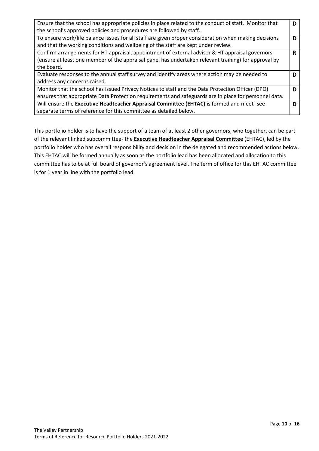| Ensure that the school has appropriate policies in place related to the conduct of staff. Monitor that |   |
|--------------------------------------------------------------------------------------------------------|---|
| the school's approved policies and procedures are followed by staff.                                   |   |
| To ensure work/life balance issues for all staff are given proper consideration when making decisions  |   |
| and that the working conditions and wellbeing of the staff are kept under review.                      |   |
| Confirm arrangements for HT appraisal, appointment of external advisor & HT appraisal governors        | R |
| (ensure at least one member of the appraisal panel has undertaken relevant training) for approval by   |   |
| the board.                                                                                             |   |
| Evaluate responses to the annual staff survey and identify areas where action may be needed to         |   |
| address any concerns raised.                                                                           |   |
| Monitor that the school has issued Privacy Notices to staff and the Data Protection Officer (DPO)      |   |
| ensures that appropriate Data Protection requirements and safeguards are in place for personnel data.  |   |
| Will ensure the Executive Headteacher Appraisal Committee (EHTAC) is formed and meet-see               |   |
| separate terms of reference for this committee as detailed below.                                      |   |

This portfolio holder is to have the support of a team of at least 2 other governors, who together, can be part of the relevant linked subcommittee- the **Executive Headteacher Appraisal Committee** (EHTAC), led by the portfolio holder who has overall responsibility and decision in the delegated and recommended actions below. This EHTAC will be formed annually as soon as the portfolio lead has been allocated and allocation to this committee has to be at full board of governor's agreement level. The term of office for this EHTAC committee is for 1 year in line with the portfolio lead.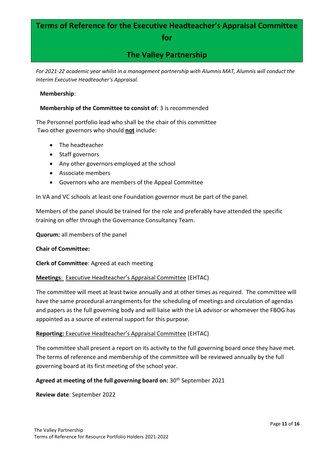# **Terms of Reference for the Executive Headteacher's Appraisal Committee**

### **for**

# **The Valley Partnership**

*For 2021-22 academic year whilst in a management partnership with Alumnis MAT, Alumnis will conduct the Interim Executive Headteacher's Appraisal.* 

#### **Membership**:

#### **Membership of the Committee to consist of:** 3 is recommended

The Personnel portfolio lead who shall be the chair of this committee Two other governors who should **not** include:

- The headteacher
- Staff governors
- Any other governors employed at the school
- Associate members
- Governors who are members of the Appeal Committee

In VA and VC schools at least one Foundation governor must be part of the panel.

Members of the panel should be trained for the role and preferably have attended the specific training on offer through the Governance Consultancy Team.

**Quorum:** all members of the panel

#### **Chair of Committee:**

**Clerk of Committee**: Agreed at each meeting

#### **Meetings**: Executive Headteacher's Appraisal Committee (EHTAC)

The committee will meet at least twice annually and at other times as required. The committee will have the same procedural arrangements for the scheduling of meetings and circulation of agendas and papers as the full governing body and will liaise with the LA advisor or whomever the FBOG has appointed as a source of external support for this purpose.

#### **Reporting:** Executive Headteacher's Appraisal Committee (EHTAC)

The committee shall present a report on its activity to the full governing board once they have met. The terms of reference and membership of the committee will be reviewed annually by the full governing board at its first meeting of the school year.

#### Agreed at meeting of the full governing board on: 30<sup>th</sup> September 2021

**Review date**: September 2022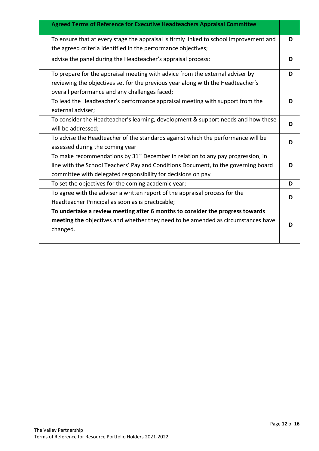| Agreed Terms of Reference for Executive Headteachers Appraisal Committee                                                                                                                                                                |   |
|-----------------------------------------------------------------------------------------------------------------------------------------------------------------------------------------------------------------------------------------|---|
| To ensure that at every stage the appraisal is firmly linked to school improvement and<br>the agreed criteria identified in the performance objectives;                                                                                 | D |
| advise the panel during the Headteacher's appraisal process;                                                                                                                                                                            | D |
| To prepare for the appraisal meeting with advice from the external adviser by                                                                                                                                                           | D |
| reviewing the objectives set for the previous year along with the Headteacher's                                                                                                                                                         |   |
| overall performance and any challenges faced;                                                                                                                                                                                           |   |
| To lead the Headteacher's performance appraisal meeting with support from the<br>external adviser;                                                                                                                                      | D |
| To consider the Headteacher's learning, development & support needs and how these<br>will be addressed;                                                                                                                                 | D |
| To advise the Headteacher of the standards against which the performance will be<br>assessed during the coming year                                                                                                                     | D |
| To make recommendations by $31st$ December in relation to any pay progression, in<br>line with the School Teachers' Pay and Conditions Document, to the governing board<br>committee with delegated responsibility for decisions on pay | D |
| To set the objectives for the coming academic year;                                                                                                                                                                                     | D |
| To agree with the adviser a written report of the appraisal process for the<br>Headteacher Principal as soon as is practicable;                                                                                                         | D |
| To undertake a review meeting after 6 months to consider the progress towards<br>meeting the objectives and whether they need to be amended as circumstances have<br>changed.                                                           | D |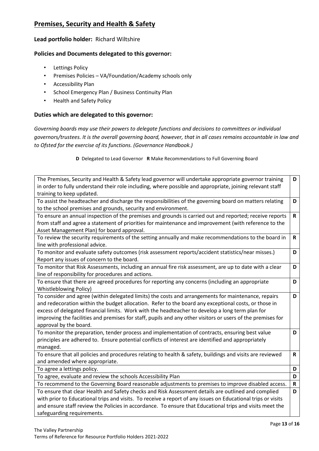## **Premises, Security and Health & Safety**

#### **Lead portfolio holder:** Richard Wiltshire

#### **Policies and Documents delegated to this governor:**

- Lettings Policy
- Premises Policies VA/Foundation/Academy schools only
- Accessibility Plan
- School Emergency Plan / Business Continuity Plan
- Health and Safety Policy

#### **Duties which are delegated to this governor:**

*Governing boards may use their powers to delegate functions and decisions to committees or individual governors/trustees. It is the overall governing board, however, that in all cases remains accountable in law and to Ofsted for the exercise of its functions. (Governance Handbook.)*

| The Premises, Security and Health & Safety lead governor will undertake appropriate governor training<br>in order to fully understand their role including, where possible and appropriate, joining relevant staff | D            |
|--------------------------------------------------------------------------------------------------------------------------------------------------------------------------------------------------------------------|--------------|
| training to keep updated.                                                                                                                                                                                          |              |
| To assist the headteacher and discharge the responsibilities of the governing board on matters relating                                                                                                            | D            |
| to the school premises and grounds, security and environment.                                                                                                                                                      |              |
| To ensure an annual inspection of the premises and grounds is carried out and reported; receive reports                                                                                                            | $\mathsf{R}$ |
| from staff and agree a statement of priorities for maintenance and improvement (with reference to the                                                                                                              |              |
| Asset Management Plan) for board approval.                                                                                                                                                                         |              |
| To review the security requirements of the setting annually and make recommendations to the board in                                                                                                               | $\mathsf{R}$ |
| line with professional advice.                                                                                                                                                                                     |              |
| To monitor and evaluate safety outcomes (risk assessment reports/accident statistics/near misses.)                                                                                                                 | D            |
| Report any issues of concern to the board.                                                                                                                                                                         |              |
| To monitor that Risk Assessments, including an annual fire risk assessment, are up to date with a clear                                                                                                            | D            |
| line of responsibility for procedures and actions.                                                                                                                                                                 |              |
| To ensure that there are agreed procedures for reporting any concerns (including an appropriate                                                                                                                    | D            |
| <b>Whistleblowing Policy)</b>                                                                                                                                                                                      |              |
| To consider and agree (within delegated limits) the costs and arrangements for maintenance, repairs                                                                                                                | D            |
| and redecoration within the budget allocation. Refer to the board any exceptional costs, or those in                                                                                                               |              |
| excess of delegated financial limits. Work with the headteacher to develop a long term plan for                                                                                                                    |              |
| improving the facilities and premises for staff, pupils and any other visitors or users of the premises for                                                                                                        |              |
| approval by the board.                                                                                                                                                                                             |              |
| To monitor the preparation, tender process and implementation of contracts, ensuring best value                                                                                                                    | D            |
| principles are adhered to. Ensure potential conflicts of interest are identified and appropriately                                                                                                                 |              |
| managed.                                                                                                                                                                                                           |              |
| To ensure that all policies and procedures relating to health & safety, buildings and visits are reviewed                                                                                                          | $\mathsf{R}$ |
| and amended where appropriate.                                                                                                                                                                                     |              |
| To agree a lettings policy.                                                                                                                                                                                        | D            |
| To agree, evaluate and review the schools Accessibility Plan                                                                                                                                                       | D            |
| To recommend to the Governing Board reasonable adjustments to premises to improve disabled access.                                                                                                                 | $\mathbf R$  |
| To ensure that clear Health and Safety checks and Risk Assessment details are outlined and complied                                                                                                                | D            |
| with prior to Educational trips and visits. To receive a report of any issues on Educational trips or visits                                                                                                       |              |
| and ensure staff review the Policies in accordance. To ensure that Educational trips and visits meet the                                                                                                           |              |
| safeguarding requirements.                                                                                                                                                                                         |              |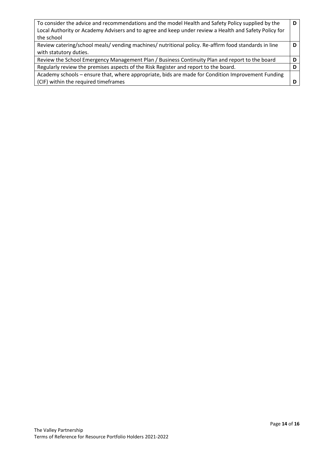| To consider the advice and recommendations and the model Health and Safety Policy supplied by the     |   |
|-------------------------------------------------------------------------------------------------------|---|
| Local Authority or Academy Advisers and to agree and keep under review a Health and Safety Policy for |   |
| the school                                                                                            |   |
| Review catering/school meals/vending machines/nutritional policy. Re-affirm food standards in line    |   |
| with statutory duties.                                                                                |   |
| Review the School Emergency Management Plan / Business Continuity Plan and report to the board        | D |
| Regularly review the premises aspects of the Risk Register and report to the board.                   |   |
| Academy schools – ensure that, where appropriate, bids are made for Condition Improvement Funding     |   |
| (CIF) within the required timeframes                                                                  |   |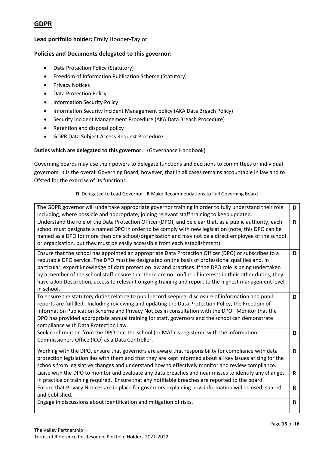## **GDPR**

#### **Lead portfolio holder:** Emily Hooper-Taylor

#### **Policies and Documents delegated to this governor:**

- Data Protection Policy (Statutory)
- Freedom of Information Publication Scheme (Statutory)
- Privacy Notices
- Data Protection Policy
- Information Security Policy
- Information Security Incident Management policy (AKA Data Breach Policy)
- Security Incident Management Procedure (AKA Data Breach Procedure)
- Retention and disposal policy
- GDPR Data Subject Access Request Procedure.

#### **Duties which are delegated to this governor:** (Governance Handbook)

Governing boards may use their powers to delegate functions and decisions to committees or individual governors. It is the overall Governing Board, however, that in all cases remains accountable in law and to Ofsted for the exercise of its functions.

| The GDPR governor will undertake appropriate governor training in order to fully understand their role<br>including, where possible and appropriate, joining relevant staff training to keep updated.                                                                                                                                                                                                                                                                                                                                                    | D            |
|----------------------------------------------------------------------------------------------------------------------------------------------------------------------------------------------------------------------------------------------------------------------------------------------------------------------------------------------------------------------------------------------------------------------------------------------------------------------------------------------------------------------------------------------------------|--------------|
| Understand the role of the Data Protection Officer (DPO), and be clear that, as a public authority, each<br>school must designate a named DPO in order to be comply with new legislation (note, this DPO can be<br>named as a DPO for more than one school/organisation and may not be a direct employee of the school<br>or organisation, but they must be easily accessible from each establishment).                                                                                                                                                  | D            |
| Ensure that the school has appointed an appropriate Data Protection Officer (DPO) or subscribes to a<br>reputable DPO service. The DPO must be designated on the basis of professional qualities and, in<br>particular, expert knowledge of data protection law and practices. If the DPO role is being undertaken<br>by a member of the school staff ensure that there are no conflict of interests in their other duties, they<br>have a Job Description, access to relevant ongoing training and report to the highest management level<br>in school. | D            |
| To ensure the statutory duties relating to pupil record keeping, disclosure of information and pupil<br>reports are fulfilled. Including reviewing and updating the Data Protection Policy, the Freedom of<br>Information Publication Scheme and Privacy Notices in consultation with the DPO. Monitor that the<br>DPO has provided appropriate annual training for staff, governors and the school can demonstrate<br>compliance with Data Protection Law.                                                                                              | D            |
| Seek confirmation from the DPO that the school (or MAT) is registered with the Information<br>Commissioners Office (ICO) as a Data Controller.                                                                                                                                                                                                                                                                                                                                                                                                           | D            |
| Working with the DPO, ensure that governors are aware that responsibility for compliance with data<br>protection legislation lies with them and that they are kept informed about all key issues arising for the<br>schools from legislative changes and understand how to effectively monitor and review compliance.                                                                                                                                                                                                                                    | D            |
| Liaise with the DPO to monitor and evaluate any data breaches and near misses to identify any changes<br>in practice or training required. Ensure that any notifiable breaches are reported to the board.                                                                                                                                                                                                                                                                                                                                                | $\mathsf{R}$ |
| Ensure that Privacy Notices are in place for governors explaining how information will be used, shared<br>and published.                                                                                                                                                                                                                                                                                                                                                                                                                                 | R            |
| Engage in discussions about identification and mitigation of risks.                                                                                                                                                                                                                                                                                                                                                                                                                                                                                      | D            |